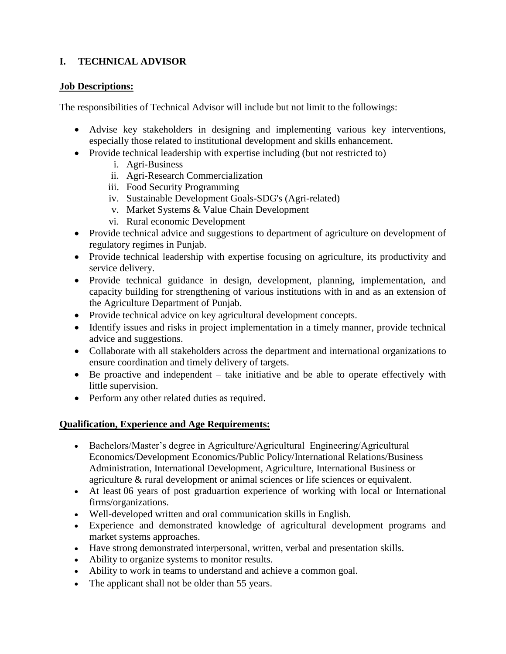# **I. TECHNICAL ADVISOR**

## **Job Descriptions:**

The responsibilities of Technical Advisor will include but not limit to the followings:

- Advise key stakeholders in designing and implementing various key interventions, especially those related to institutional development and skills enhancement.
- Provide technical leadership with expertise including (but not restricted to)
	- i. Agri-Business
	- ii. Agri-Research Commercialization
	- iii. Food Security Programming
	- iv. Sustainable Development Goals-SDG's (Agri-related)
	- v. Market Systems & Value Chain Development
	- vi. Rural economic Development
- Provide technical advice and suggestions to department of agriculture on development of regulatory regimes in Punjab.
- Provide technical leadership with expertise focusing on agriculture, its productivity and service delivery.
- Provide technical guidance in design, development, planning, implementation, and capacity building for strengthening of various institutions with in and as an extension of the Agriculture Department of Punjab.
- Provide technical advice on key agricultural development concepts.
- Identify issues and risks in project implementation in a timely manner, provide technical advice and suggestions.
- Collaborate with all stakeholders across the department and international organizations to ensure coordination and timely delivery of targets.
- Be proactive and independent take initiative and be able to operate effectively with little supervision.
- Perform any other related duties as required.

- Bachelors/Master's degree in Agriculture/Agricultural Engineering/Agricultural Economics/Development Economics/Public Policy/International Relations/Business Administration, International Development, Agriculture, International Business or agriculture & rural development or animal sciences or life sciences or equivalent.
- At least 06 years of post graduartion experience of working with local or International firms/organizations.
- Well-developed written and oral communication skills in English.
- Experience and demonstrated knowledge of agricultural development programs and market systems approaches.
- Have strong demonstrated interpersonal, written, verbal and presentation skills.
- Ability to organize systems to monitor results.
- Ability to work in teams to understand and achieve a common goal.
- The applicant shall not be older than 55 years.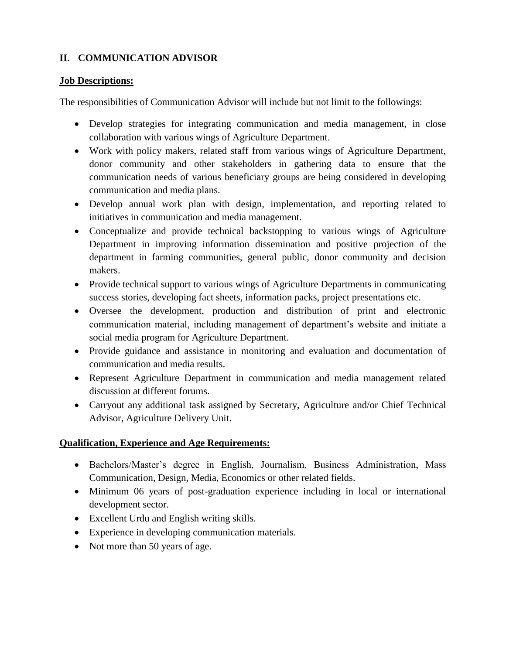## **II. COMMUNICATION ADVISOR**

### **Job Descriptions:**

The responsibilities of Communication Advisor will include but not limit to the followings:

- Develop strategies for integrating communication and media management, in close collaboration with various wings of Agriculture Department.
- Work with policy makers, related staff from various wings of Agriculture Department, donor community and other stakeholders in gathering data to ensure that the communication needs of various beneficiary groups are being considered in developing communication and media plans.
- Develop annual work plan with design, implementation, and reporting related to initiatives in communication and media management.
- Conceptualize and provide technical backstopping to various wings of Agriculture Department in improving information dissemination and positive projection of the department in farming communities, general public, donor community and decision makers.
- Provide technical support to various wings of Agriculture Departments in communicating success stories, developing fact sheets, information packs, project presentations etc.
- Oversee the development, production and distribution of print and electronic communication material, including management of department's website and initiate a social media program for Agriculture Department.
- Provide guidance and assistance in monitoring and evaluation and documentation of communication and media results.
- Represent Agriculture Department in communication and media management related discussion at different forums.
- Carryout any additional task assigned by Secretary, Agriculture and/or Chief Technical Advisor, Agriculture Delivery Unit.

- Bachelors/Master's degree in English, Journalism, Business Administration, Mass Communication, Design, Media, Economics or other related fields.
- Minimum 06 years of post-graduation experience including in local or international development sector.
- Excellent Urdu and English writing skills.
- Experience in developing communication materials.
- Not more than 50 years of age.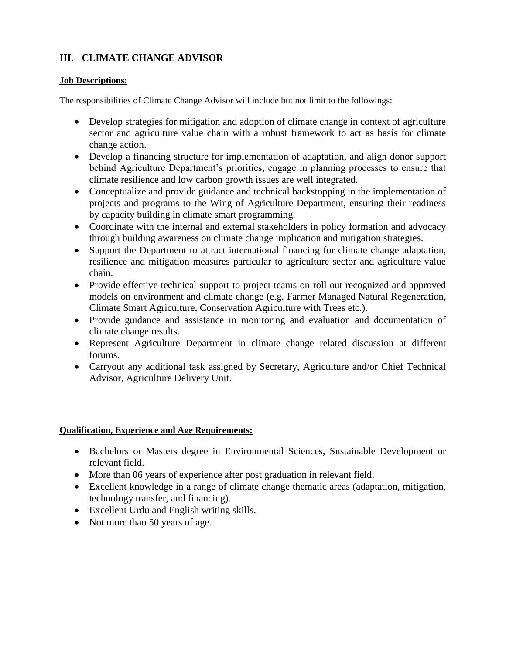# **III. CLIMATE CHANGE ADVISOR**

### **Job Descriptions:**

The responsibilities of Climate Change Advisor will include but not limit to the followings:

- Develop strategies for mitigation and adoption of climate change in context of agriculture sector and agriculture value chain with a robust framework to act as basis for climate change action.
- Develop a financing structure for implementation of adaptation, and align donor support behind Agriculture Department's priorities, engage in planning processes to ensure that climate resilience and low carbon growth issues are well integrated.
- Conceptualize and provide guidance and technical backstopping in the implementation of projects and programs to the Wing of Agriculture Department, ensuring their readiness by capacity building in climate smart programming.
- Coordinate with the internal and external stakeholders in policy formation and advocacy through building awareness on climate change implication and mitigation strategies.
- Support the Department to attract international financing for climate change adaptation, resilience and mitigation measures particular to agriculture sector and agriculture value chain.
- Provide effective technical support to project teams on roll out recognized and approved models on environment and climate change (e.g. Farmer Managed Natural Regeneration, Climate Smart Agriculture, Conservation Agriculture with Trees etc.).
- Provide guidance and assistance in monitoring and evaluation and documentation of climate change results.
- Represent Agriculture Department in climate change related discussion at different forums.
- Carryout any additional task assigned by Secretary, Agriculture and/or Chief Technical Advisor, Agriculture Delivery Unit.

- Bachelors or Masters degree in Environmental Sciences, Sustainable Development or relevant field.
- More than 06 years of experience after post graduation in relevant field.
- Excellent knowledge in a range of climate change thematic areas (adaptation, mitigation, technology transfer, and financing).
- Excellent Urdu and English writing skills.
- Not more than 50 years of age.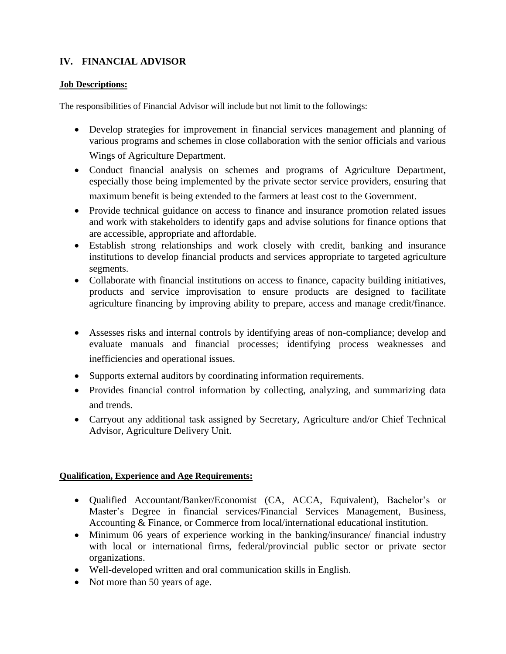# **IV. FINANCIAL ADVISOR**

#### **Job Descriptions:**

The responsibilities of Financial Advisor will include but not limit to the followings:

- Develop strategies for improvement in financial services management and planning of various programs and schemes in close collaboration with the senior officials and various Wings of Agriculture Department.
- Conduct financial analysis on schemes and programs of Agriculture Department, especially those being implemented by the private sector service providers, ensuring that maximum benefit is being extended to the farmers at least cost to the Government.
- Provide technical guidance on access to finance and insurance promotion related issues and work with stakeholders to identify gaps and advise solutions for finance options that are accessible, appropriate and affordable.
- Establish strong relationships and work closely with credit, banking and insurance institutions to develop financial products and services appropriate to targeted agriculture segments.
- Collaborate with financial institutions on access to finance, capacity building initiatives, products and service improvisation to ensure products are designed to facilitate agriculture financing by improving ability to prepare, access and manage credit/finance.
- Assesses risks and internal controls by identifying areas of non-compliance; develop and evaluate manuals and financial processes; identifying process weaknesses and inefficiencies and operational issues.
- Supports external auditors by coordinating information requirements.
- Provides financial control information by collecting, analyzing, and summarizing data and trends.
- Carryout any additional task assigned by Secretary, Agriculture and/or Chief Technical Advisor, Agriculture Delivery Unit.

- Qualified Accountant/Banker/Economist (CA, ACCA, Equivalent), Bachelor's or Master's Degree in financial services/Financial Services Management, Business, Accounting & Finance, or Commerce from local/international educational institution.
- Minimum 06 years of experience working in the banking/insurance/ financial industry with local or international firms, federal/provincial public sector or private sector organizations.
- Well-developed written and oral communication skills in English.
- Not more than 50 years of age.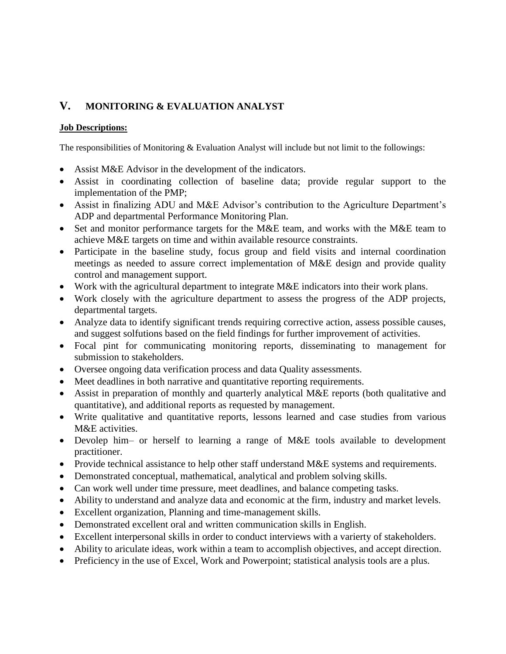# **V. MONITORING & EVALUATION ANALYST**

#### **Job Descriptions:**

The responsibilities of Monitoring & Evaluation Analyst will include but not limit to the followings:

- Assist M&E Advisor in the development of the indicators.
- Assist in coordinating collection of baseline data; provide regular support to the implementation of the PMP;
- Assist in finalizing ADU and M&E Advisor's contribution to the Agriculture Department's ADP and departmental Performance Monitoring Plan.
- Set and monitor performance targets for the M&E team, and works with the M&E team to achieve M&E targets on time and within available resource constraints.
- Participate in the baseline study, focus group and field visits and internal coordination meetings as needed to assure correct implementation of M&E design and provide quality control and management support.
- Work with the agricultural department to integrate M&E indicators into their work plans.
- Work closely with the agriculture department to assess the progress of the ADP projects, departmental targets.
- Analyze data to identify significant trends requiring corrective action, assess possible causes, and suggest solfutions based on the field findings for further improvement of activities.
- Focal pint for communicating monitoring reports, disseminating to management for submission to stakeholders.
- Oversee ongoing data verification process and data Quality assessments.
- Meet deadlines in both narrative and quantitative reporting requirements.
- Assist in preparation of monthly and quarterly analytical M&E reports (both qualitative and quantitative), and additional reports as requested by management.
- Write qualitative and quantitative reports, lessons learned and case studies from various M&E activities.
- Devolep him– or herself to learning a range of M&E tools available to development practitioner.
- Provide technical assistance to help other staff understand M&E systems and requirements.
- Demonstrated conceptual, mathematical, analytical and problem solving skills.
- Can work well under time pressure, meet deadlines, and balance competing tasks.
- Ability to understand and analyze data and economic at the firm, industry and market levels.
- Excellent organization, Planning and time-management skills.
- Demonstrated excellent oral and written communication skills in English.
- Excellent interpersonal skills in order to conduct interviews with a varierty of stakeholders.
- Ability to ariculate ideas, work within a team to accomplish objectives, and accept direction.
- Preficiency in the use of Excel, Work and Powerpoint; statistical analysis tools are a plus.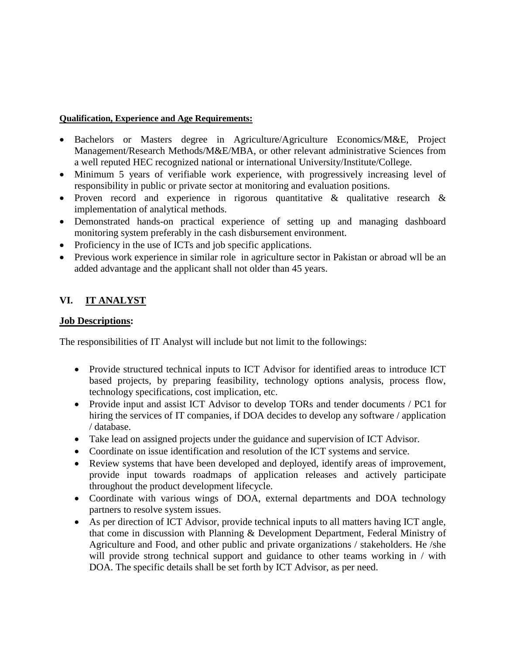#### **Qualification, Experience and Age Requirements:**

- Bachelors or Masters degree in Agriculture/Agriculture Economics/M&E, Project Management/Research Methods/M&E/MBA, or other relevant administrative Sciences from a well reputed HEC recognized national or international University/Institute/College.
- Minimum 5 years of verifiable work experience, with progressively increasing level of responsibility in public or private sector at monitoring and evaluation positions.
- Proven record and experience in rigorous quantitative & qualitative research & implementation of analytical methods.
- Demonstrated hands-on practical experience of setting up and managing dashboard monitoring system preferably in the cash disbursement environment.
- Proficiency in the use of ICTs and job specific applications.
- Previous work experience in similar role in agriculture sector in Pakistan or abroad wll be an added advantage and the applicant shall not older than 45 years.

# **VI. IT ANALYST**

## **Job Descriptions:**

The responsibilities of IT Analyst will include but not limit to the followings:

- Provide structured technical inputs to ICT Advisor for identified areas to introduce ICT based projects, by preparing feasibility, technology options analysis, process flow, technology specifications, cost implication, etc.
- Provide input and assist ICT Advisor to develop TORs and tender documents / PC1 for hiring the services of IT companies, if DOA decides to develop any software / application / database.
- Take lead on assigned projects under the guidance and supervision of ICT Advisor.
- Coordinate on issue identification and resolution of the ICT systems and service.
- Review systems that have been developed and deployed, identify areas of improvement, provide input towards roadmaps of application releases and actively participate throughout the product development lifecycle.
- Coordinate with various wings of DOA, external departments and DOA technology partners to resolve system issues.
- As per direction of ICT Advisor, provide technical inputs to all matters having ICT angle, that come in discussion with Planning & Development Department, Federal Ministry of Agriculture and Food, and other public and private organizations / stakeholders. He /she will provide strong technical support and guidance to other teams working in / with DOA. The specific details shall be set forth by ICT Advisor, as per need.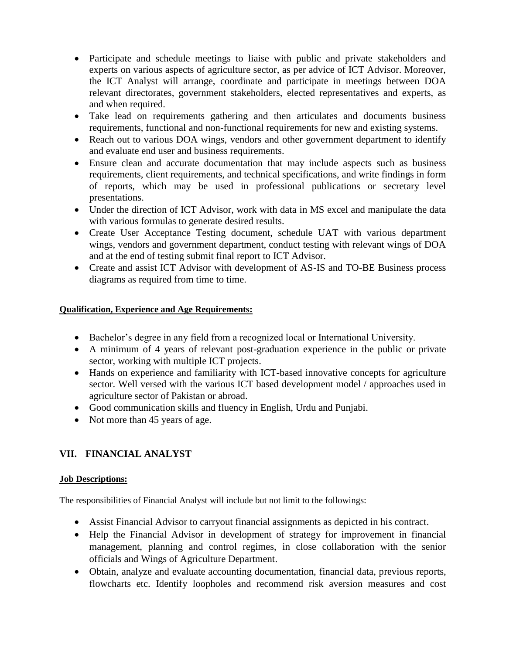- Participate and schedule meetings to liaise with public and private stakeholders and experts on various aspects of agriculture sector, as per advice of ICT Advisor. Moreover, the ICT Analyst will arrange, coordinate and participate in meetings between DOA relevant directorates, government stakeholders, elected representatives and experts, as and when required.
- Take lead on requirements gathering and then articulates and documents business requirements, functional and non-functional requirements for new and existing systems.
- Reach out to various DOA wings, vendors and other government department to identify and evaluate end user and business requirements.
- Ensure clean and accurate documentation that may include aspects such as business requirements, client requirements, and technical specifications, and write findings in form of reports, which may be used in professional publications or secretary level presentations.
- Under the direction of ICT Advisor, work with data in MS excel and manipulate the data with various formulas to generate desired results.
- Create User Acceptance Testing document, schedule UAT with various department wings, vendors and government department, conduct testing with relevant wings of DOA and at the end of testing submit final report to ICT Advisor.
- Create and assist ICT Advisor with development of AS-IS and TO-BE Business process diagrams as required from time to time.

#### **Qualification, Experience and Age Requirements:**

- Bachelor's degree in any field from a recognized local or International University.
- A minimum of 4 years of relevant post-graduation experience in the public or private sector, working with multiple ICT projects.
- Hands on experience and familiarity with ICT-based innovative concepts for agriculture sector. Well versed with the various ICT based development model / approaches used in agriculture sector of Pakistan or abroad.
- Good communication skills and fluency in English, Urdu and Punjabi.
- Not more than 45 years of age.

# **VII. FINANCIAL ANALYST**

#### **Job Descriptions:**

The responsibilities of Financial Analyst will include but not limit to the followings:

- Assist Financial Advisor to carryout financial assignments as depicted in his contract.
- Help the Financial Advisor in development of strategy for improvement in financial management, planning and control regimes, in close collaboration with the senior officials and Wings of Agriculture Department.
- Obtain, analyze and evaluate accounting documentation, financial data, previous reports, flowcharts etc. Identify loopholes and recommend risk aversion measures and cost